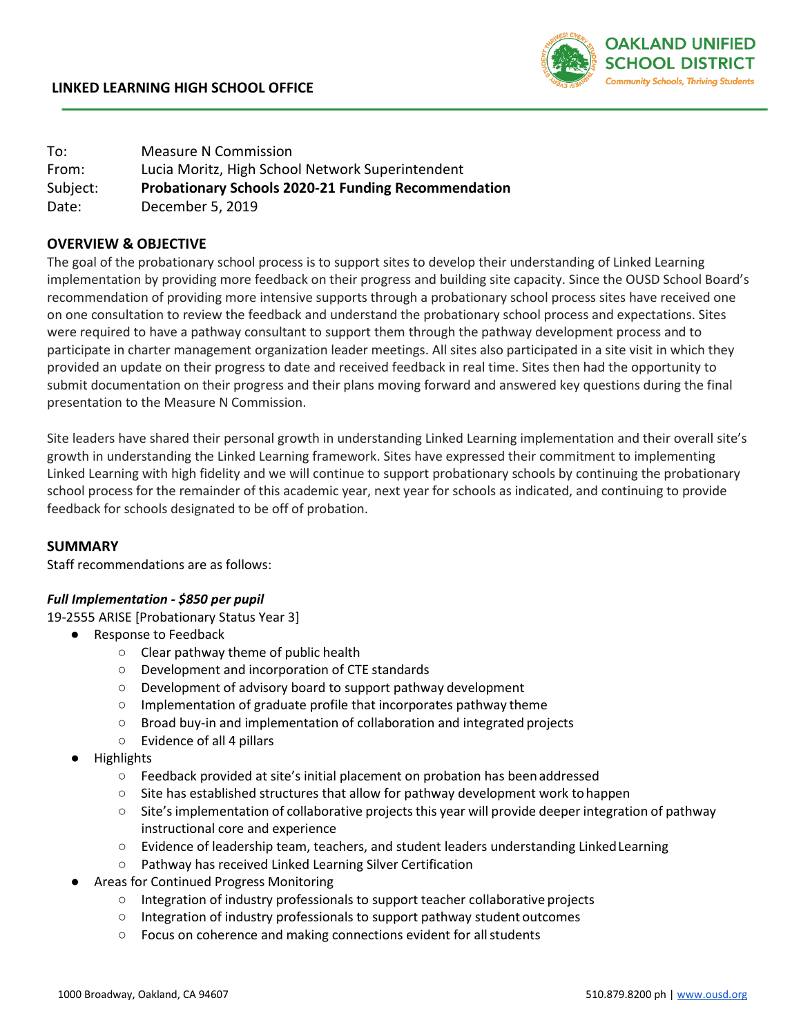

| To:      | <b>Measure N Commission</b>                                |  |  |  |
|----------|------------------------------------------------------------|--|--|--|
| From:    | Lucia Moritz, High School Network Superintendent           |  |  |  |
| Subject: | <b>Probationary Schools 2020-21 Funding Recommendation</b> |  |  |  |
| Date:    | December 5, 2019                                           |  |  |  |

# **OVERVIEW & OBJECTIVE**

The goal of the probationary school process is to support sites to develop their understanding of Linked Learning implementation by providing more feedback on their progress and building site capacity. Since the OUSD School Board's recommendation of providing more intensive supports through a probationary school process sites have received one on one consultation to review the feedback and understand the probationary school process and expectations. Sites were required to have a pathway consultant to support them through the pathway development process and to participate in charter management organization leader meetings. All sites also participated in a site visit in which they provided an update on their progress to date and received feedback in real time. Sites then had the opportunity to submit documentation on their progress and their plans moving forward and answered key questions during the final presentation to the Measure N Commission.

Site leaders have shared their personal growth in understanding Linked Learning implementation and their overall site's growth in understanding the Linked Learning framework. Sites have expressed their commitment to implementing Linked Learning with high fidelity and we will continue to support probationary schools by continuing the probationary school process for the remainder of this academic year, next year for schools as indicated, and continuing to provide feedback for schools designated to be off of probation.

## **SUMMARY**

Staff recommendations are as follows:

#### *Full Implementation - \$850 per pupil*

19-2555 ARISE [Probationary Status Year 3]

- Response to Feedback
	- Clear pathway theme of public health
	- Development and incorporation of CTE standards
	- Development of advisory board to support pathway development
	- Implementation of graduate profile that incorporates pathway theme
	- Broad buy-in and implementation of collaboration and integrated projects
	- Evidence of all 4 pillars
- **Highlights** 
	- Feedback provided at site's initial placement on probation has beenaddressed
	- $\circ$  Site has established structures that allow for pathway development work to happen
	- Site's implementation of collaborative projectsthis year will provide deeper integration of pathway instructional core and experience
	- Evidence of leadership team, teachers, and student leaders understanding LinkedLearning
	- Pathway has received Linked Learning Silver Certification
- Areas for Continued Progress Monitoring
	- Integration of industry professionals to support teacher collaborative projects
	- Integration of industry professionals to support pathway student outcomes
	- Focus on coherence and making connections evident for allstudents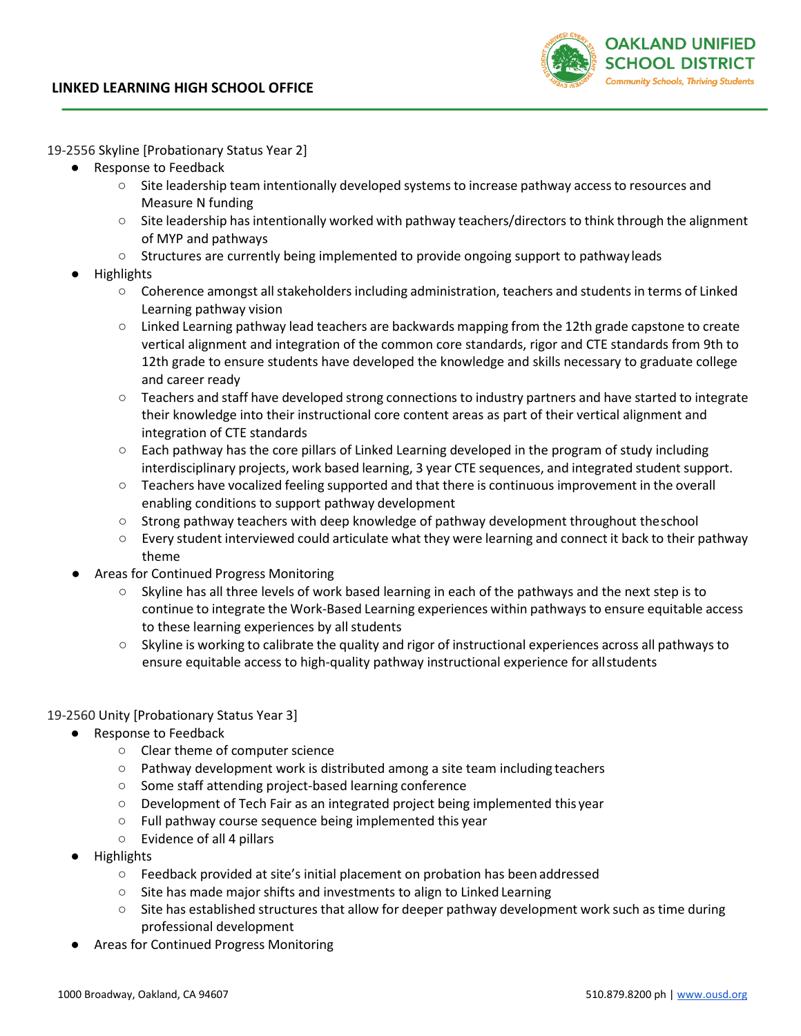

19-2556 Skyline [Probationary Status Year 2]

- Response to Feedback
	- Site leadership team intentionally developed systems to increase pathway accessto resources and Measure N funding
	- Site leadership has intentionally worked with pathway teachers/directors to think through the alignment of MYP and pathways
	- Structures are currently being implemented to provide ongoing support to pathwayleads
- **Highlights** 
	- Coherence amongst all stakeholders including administration, teachers and students in terms of Linked Learning pathway vision
	- Linked Learning pathway lead teachers are backwards mapping from the 12th grade capstone to create vertical alignment and integration of the common core standards, rigor and CTE standards from 9th to 12th grade to ensure students have developed the knowledge and skills necessary to graduate college and career ready
	- Teachers and staff have developed strong connections to industry partners and have started to integrate their knowledge into their instructional core content areas as part of their vertical alignment and integration of CTE standards
	- Each pathway has the core pillars of Linked Learning developed in the program of study including interdisciplinary projects, work based learning, 3 year CTE sequences, and integrated student support.
	- Teachers have vocalized feeling supported and that there is continuous improvement in the overall enabling conditions to support pathway development
	- Strong pathway teachers with deep knowledge of pathway development throughout theschool
	- Every student interviewed could articulate what they were learning and connect it back to their pathway theme
- Areas for Continued Progress Monitoring
	- Skyline has all three levels of work based learning in each of the pathways and the next step is to continue to integrate the Work-Based Learning experiences within pathways to ensure equitable access to these learning experiences by all students
	- Skyline is working to calibrate the quality and rigor of instructional experiences across all pathways to ensure equitable access to high-quality pathway instructional experience for allstudents

## 19-2560 Unity [Probationary Status Year 3]

- Response to Feedback
	- Clear theme of computer science
	- Pathway development work is distributed among a site team including teachers
	- Some staff attending project-based learning conference
	- Development of Tech Fair as an integrated project being implemented this year
	- Full pathway course sequence being implemented this year
	- Evidence of all 4 pillars
- **Highlights** 
	- Feedback provided at site's initial placement on probation has beenaddressed
	- Site has made major shifts and investments to align to Linked Learning
	- Site has established structures that allow for deeper pathway development work such as time during professional development
- Areas for Continued Progress Monitoring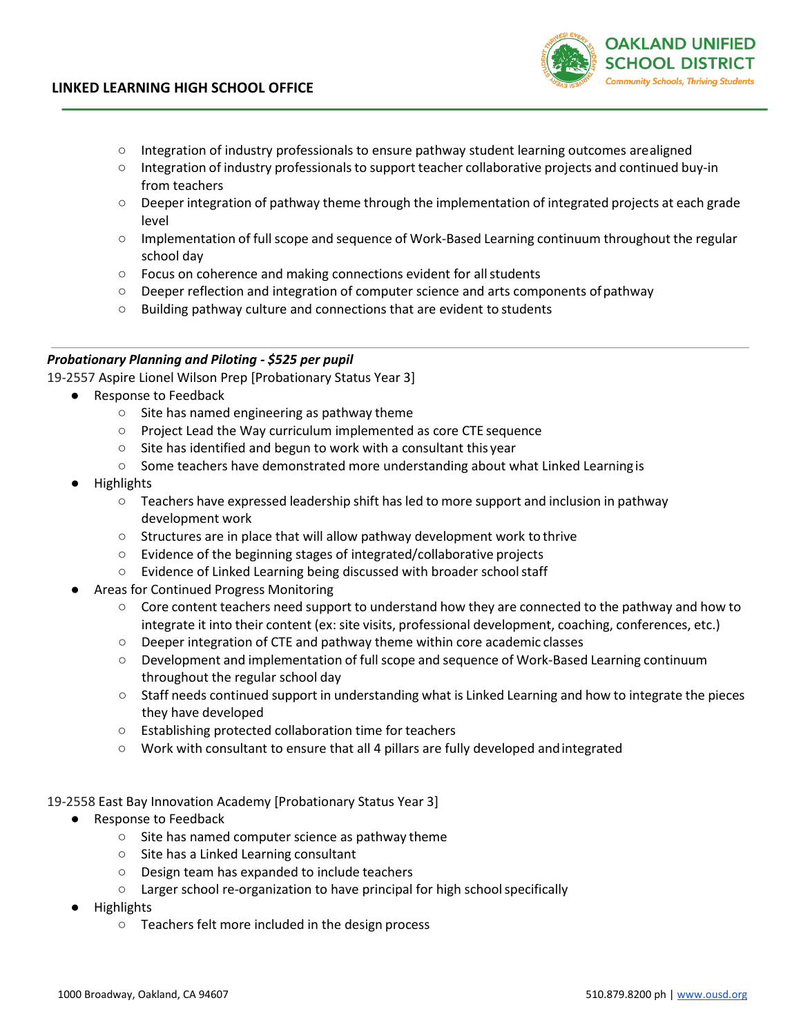

- Integration of industry professionals to ensure pathway student learning outcomes arealigned
- Integration of industry professionals to support teacher collaborative projects and continued buy-in from teachers
- Deeper integration of pathway theme through the implementation of integrated projects at each grade level
- Implementation of full scope and sequence of Work-Based Learning continuum throughout the regular school day
- Focus on coherence and making connections evident for allstudents
- Deeper reflection and integration of computer science and arts components ofpathway
- Building pathway culture and connections that are evident to students

#### *Probationary Planning and Piloting - \$525 per pupil*

19-2557 Aspire Lionel Wilson Prep [Probationary Status Year 3]

- Response to Feedback
	- Site has named engineering as pathway theme
	- Project Lead the Way curriculum implemented as core CTE sequence
	- $\circ$  Site has identified and begun to work with a consultant this year
	- Some teachers have demonstrated more understanding about what Linked Learning is
- **Highlights** 
	- $\circ$  Teachers have expressed leadership shift has led to more support and inclusion in pathway development work
	- Structures are in place that will allow pathway development work to thrive
	- Evidence of the beginning stages of integrated/collaborative projects
	- Evidence of Linked Learning being discussed with broader schoolstaff
- Areas for Continued Progress Monitoring
	- $\circ$  Core content teachers need support to understand how they are connected to the pathway and how to integrate it into their content (ex: site visits, professional development, coaching, conferences, etc.)
	- Deeper integration of CTE and pathway theme within core academic classes
	- Development and implementation of full scope and sequence of Work-Based Learning continuum throughout the regular school day
	- Staff needs continued support in understanding what is Linked Learning and how to integrate the pieces they have developed
	- Establishing protected collaboration time for teachers
	- Work with consultant to ensure that all 4 pillars are fully developed andintegrated
- 19-2558 East Bay Innovation Academy [Probationary Status Year 3]
	- Response to Feedback
		- Site has named computer science as pathway theme
		- Site has a Linked Learning consultant
		- Design team has expanded to include teachers
		- Larger school re-organization to have principal for high schoolspecifically
	- **Highlights** 
		- Teachers felt more included in the design process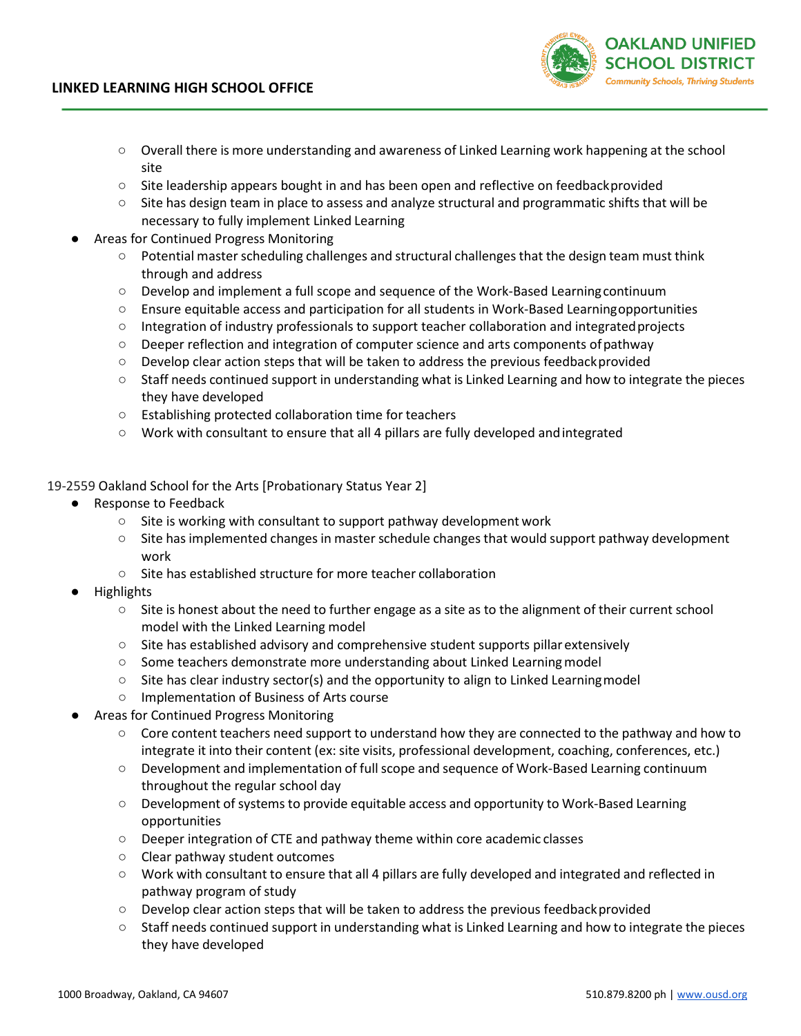- Overall there is more understanding and awareness of Linked Learning work happening at the school site
- Site leadership appears bought in and has been open and reflective on feedbackprovided
- Site has design team in place to assess and analyze structural and programmatic shifts that will be necessary to fully implement Linked Learning
- Areas for Continued Progress Monitoring
	- Potential master scheduling challenges and structural challenges that the design team must think through and address
	- Develop and implement a full scope and sequence of the Work-Based Learningcontinuum
	- Ensure equitable access and participation for all students in Work-Based Learningopportunities
	- Integration of industry professionals to support teacher collaboration and integratedprojects
	- Deeper reflection and integration of computer science and arts components ofpathway
	- Develop clear action steps that will be taken to address the previous feedbackprovided
	- Staff needs continued support in understanding what is Linked Learning and how to integrate the pieces they have developed
	- Establishing protected collaboration time for teachers
	- Work with consultant to ensure that all 4 pillars are fully developed andintegrated
- 19-2559 Oakland School for the Arts [Probationary Status Year 2]
	- Response to Feedback
		- $\circ$  Site is working with consultant to support pathway development work
		- Site has implemented changes in masterschedule changes that would support pathway development work
		- Site has established structure for more teacher collaboration
	- **Highlights** 
		- Site is honest about the need to further engage as a site as to the alignment of their current school model with the Linked Learning model
		- Site has established advisory and comprehensive student supports pillar extensively
		- Some teachers demonstrate more understanding about Linked Learningmodel
		- $\circ$  Site has clear industry sector(s) and the opportunity to align to Linked Learning model
		- Implementation of Business of Arts course
	- Areas for Continued Progress Monitoring
		- Core content teachers need support to understand how they are connected to the pathway and how to integrate it into their content (ex: site visits, professional development, coaching, conferences, etc.)
		- Development and implementation of full scope and sequence of Work-Based Learning continuum throughout the regular school day
		- Development of systems to provide equitable access and opportunity to Work-Based Learning opportunities
		- Deeper integration of CTE and pathway theme within core academic classes
		- Clear pathway student outcomes
		- Work with consultant to ensure that all 4 pillars are fully developed and integrated and reflected in pathway program of study
		- Develop clear action steps that will be taken to address the previous feedbackprovided
		- Staff needs continued support in understanding what is Linked Learning and how to integrate the pieces they have developed

**OAKLAND UNIFIED** SCHOOL DISTRICT **Community Schools, Thriving Students**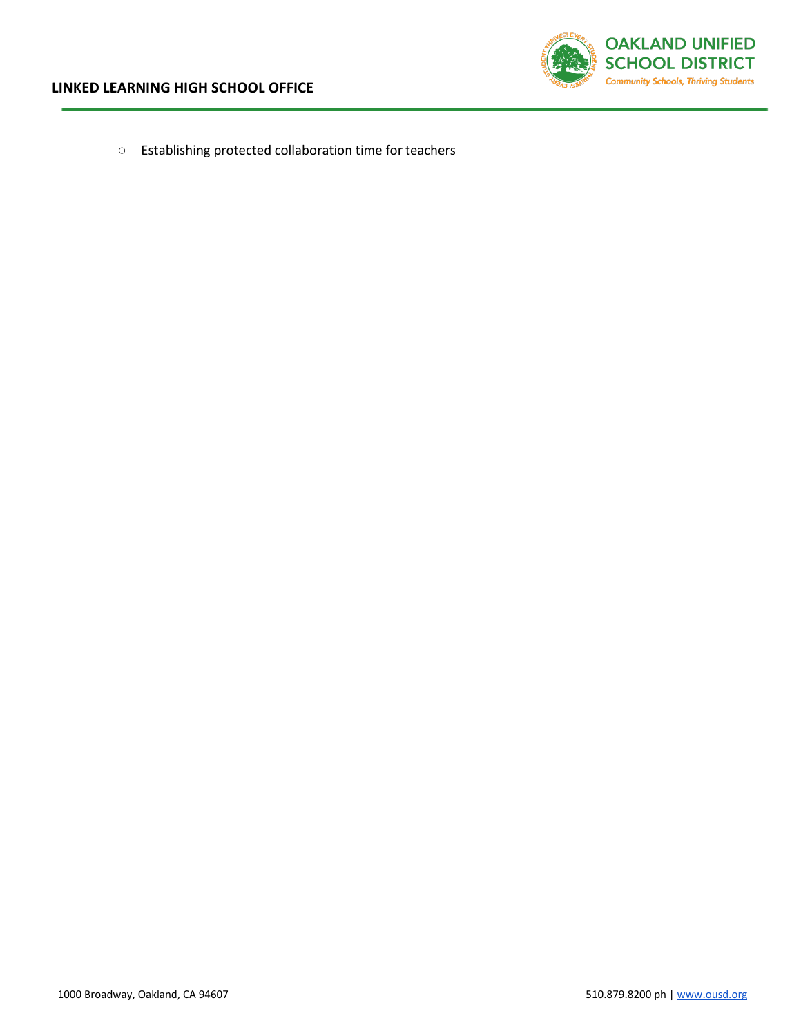

○ Establishing protected collaboration time for teachers